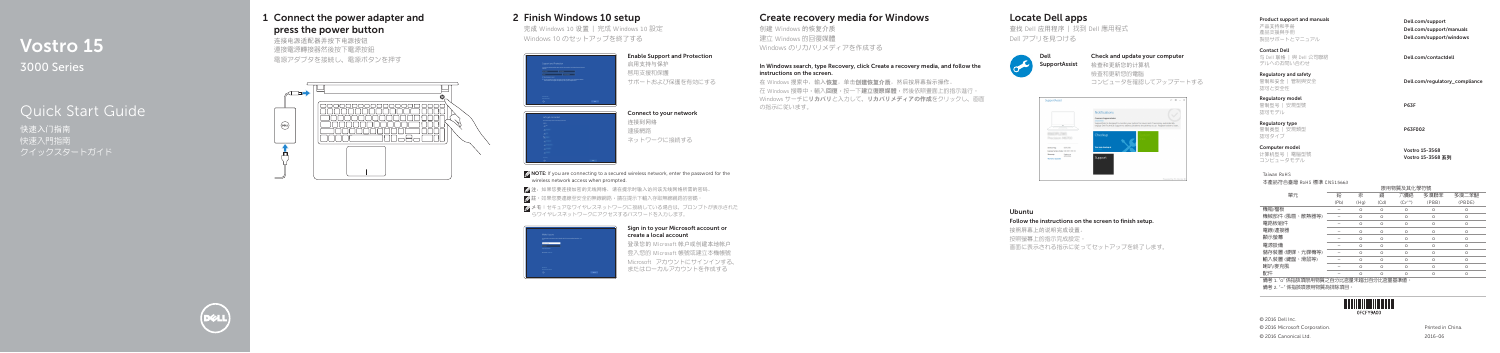# Vostro 15 3000 Series

# Quick Start Guide

快速入门指南 快速入門指南

### 1 Connect the power adapter and press the power button

连接电源适配器并按下电源按钮 連接電源轉接器然後按下電源按鈕 電源アダプタを接続し、電源ボタンを押す

**DELL** 



### Create recovery media for Windows

创建 Windows 的恢复介质 建立 Windows 的回復媒體 Windows のリカバリメディアを作成する

在 Windows 搜索中,输入恢复,单击创建恢复介质,然后按屏幕指示操作。 在 Windows 搜尋中,輸入回復,按一下建立復原媒體,然後依照畫面上的指示進行。 Windows サーチにリカバリと入力して、リカバリメディアの作成をクリックし、画面 の指示に従います。

#### In Windows search, type Recovery, click Create a recovery media, and follow the instructions on the screen.

### Locate Dell apps

查找 Dell 应用程序 | 找到 Dell 應用程式 Dell アプリを見つける



#### Check and update your computer

检查和更新您的计算机 檢查和更新您的電腦 コンピュータを確認してアップデートする



#### Ubuntu

Follow the instructions on the screen to finish setup.

按照屏幕上的说明完成设置。

按照螢幕上的指示完成設定。

画面に表示される指示に従ってセットアップを終了します。

#### Product support and manuals

#### 产品支持和手册 產品支援與手冊 製品サポートとマニュアル

Dell.com/support Dell.com/support/manuals Dell.com/support/windows

Dell.com/regulatory\_compliance

#### Contact Dell 与 Dell 联络 | 與 Dell 公司聯絡 デルへのお問い合わせ

Dell.com/contactdell

Regulatory and safety 管制和安全 | 管制與安全 認可と安全性

Regulatory model 管制型号 | 安規型號 認可モデル

P63F

Regulatory type 管制类型 | 安規類型 認可タイプ

P63F002

Computer model 计算机型号 | 電腦型號 コンピュータモデル

Vostro 15-3568 Vostro 15-3568 系列

© 2016 Dell Inc. © 2016 Microsoft Corporation. © 2016 Canonical Ltd.

Printed in China. 2016-06

### 2 Finish Windows 10 setup

完成 Windows 10 设置 | 完成 Windows 10 設定 Windows 10 のセットアップを終了する



サポートおよび保護を有効にする

连接到网络 連接網路 ネットワークに接続する

 $\mathbb Z$  NOTE: If you are connecting to a secured wireless network, enter the password for the wireless network access when prompted

■ 注: 如果您要连接加密的无线网络, 请在提示时输入访问该无线网络所需的密码。

么註:如果您要連線至安全的無線網路,請在提示下輸入存取無線網路的密碼。

メモ:セキュアなワイヤレスネットワークに接続している場合は、プロンプトが表示された らワイヤレスネットワークにアクセスするパスワードを入力します。



#### Sign in to your Microsoft account or create a local account

登录您的 Microsoft 帐户或创建本地帐户 登入您的 Microsoft 帳號或建立本機帳號 Microsoft アカウントにサインインする、 またはローカルアカウントを作成する

#### Taiwan RoHS

本產品符合臺灣 RoHS 標準 CNS15663

|                                                               | 限用物質及其化學符號 |          |         |             |          |         |  |
|---------------------------------------------------------------|------------|----------|---------|-------------|----------|---------|--|
| 單元                                                            | 鉛          | 汞        | 鎘       | 六價銘         | 多溴聯苯     | 多溴二苯醚   |  |
|                                                               | (Pb)       | (Hq)     | (Cd)    | $(Cr^{+6})$ | (PBB)    | (PBDE)  |  |
| 機箱/檔板                                                         |            | $\circ$  | $\circ$ | $\circ$     | $\circ$  | $\circ$ |  |
| 機械部件 (風扇、散熱器等)                                                |            | $\circ$  | $\circ$ | $\circ$     | $\circ$  | $\circ$ |  |
| 電路板組件                                                         |            | $\circ$  | $\circ$ | $\circ$     | $\circ$  | $\circ$ |  |
| 電線/連接器                                                        |            | $\circ$  | $\circ$ | $\circ$     | $\circ$  | $\circ$ |  |
| 顯示螢幕                                                          |            | $\circ$  | $\circ$ | $\circ$     | $\circ$  | $\circ$ |  |
| 電源設備                                                          |            | $\circ$  | $\circ$ | $\circ$     | $\circ$  | $\circ$ |  |
| 儲存裝置 (硬碟、光碟機等)                                                |            | $\Omega$ | $\circ$ | $\circ$     | $\circ$  | $\circ$ |  |
| 輸入裝置 (鍵盤、滑鼠等)                                                 |            | $\Omega$ | $\circ$ | $\circ$     | $\circ$  | $\circ$ |  |
| 喇叭/麥克風                                                        |            | $\Omega$ | $\circ$ | $\circ$     | $\circ$  | $\circ$ |  |
| 配件                                                            |            | $\cap$   | $\circ$ | $\Omega$    | $\Omega$ | $\circ$ |  |
| (共) 大 。 。 。 / 方北洋大西瓜 四亚威乐寺 美 八 しょち 国 十 七川 ( 美 八 しょち 国 甘 )街 (主 |            |          |         |             |          |         |  |

備考 1. "o" 係指該項限用物質之百分比含量未超出百分比含量基準値

備考 2. "–" 係指該項限用物質為排除項目